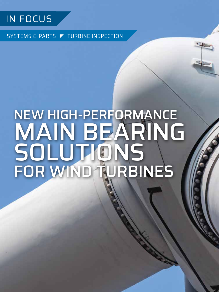

SYSTEMS & PARTS **F** TURBINE INSPECTION

# NEW HIGH-PERFORMANCE MAIN BEARING SOLUTIONS FOR WIND TURBINES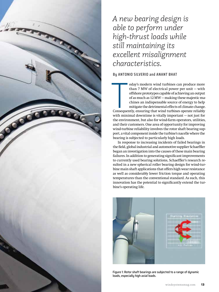

*A new bearing design is able to perform under high-thrust loads while still maintaining its excellent misalignment characteristics.*

**By ANTONIO SILVERIO and ANANT BHAT**

The Consequer oday's modern wind turbines can produce more than 7 MW of electrical power per unit — with offshore prototypes capable of achieving an output of as much as 12 MW — making these majestic machines an indispensable source of energy to help mitigate the detrimental effects of climate change. Consequently, ensuring that wind turbines operate reliably with minimal downtime is vitally important — not just for the environment, but also for wind-farm operators, utilities, and their customers. One area of opportunity for improving wind-turbine reliability involves the rotor shaft bearing support, a vital component inside the turbine's nacelle where the bearing is subjected to particularly high loads.

In response to increasing incidents of failed bearings in the field, global industrial and automotive supplier Schaeffler began an investigation into the causes of these main bearing failures. In addition to generating significant improvements to currently used bearing solutions, Schaeffler's research resulted in a new spherical roller bearing design for wind-turbine main shaft applications that offers high wear resistance as well as considerably lower friction torque and operating temperatures than the conventional standard. As such, this innovation has the potential to significantly extend the turbine's operating life.



Figure 1: Rotor shaft bearings are subjected to a range of dynamic loads, especially high axial loads.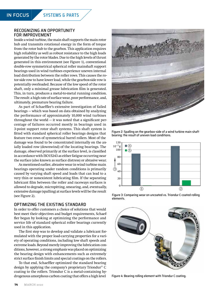### RECOGNIZING AN OPPORTUNITY FOR IMPROVEMENT

Inside a wind turbine, the main shaft supports the main rotor hub and transmits rotational energy in the form of torque from the rotor hub to the gearbox. This application requires high reliability as well as robust resistance to the high loads generated by the rotor blades. Due to the high levels of thrust generated in this environment (see Figure 1), conventional double-row symmetrical spherical roller mainshaft support bearings used in wind turbines experience uneven internal load distribution between the roller rows. This causes the rotor-side row to have lower load, while the gearbox-side row is potentially overloaded. Because of the low speed of the rotor shaft, only a minimal grease lubrication film is generated. This, in turn, produces a metal-to-metal running condition. The result: a high rate of surface wear, poor performance, and, ultimately, premature bearing failure.

As part of Schaeffler's extensive investigation of failed bearings — which was based on data obtained by analyzing the performance of approximately 10,000 wind turbines throughout the world  $-$  it was noted that a significant percentage of failures occurred mostly in bearings used in 3-point support rotor shaft systems. This shaft system is fitted with standard spherical roller bearings designs that feature two rows of symmetrical barrel rollers. Most of the damage was found to be concentrated internally on the axially loaded row (downwind) of the locating bearings. The damage, observed primarily at the surface level, is classified in accordance with ISO15243 as either fatigue occurring near the surface (also known as surface distress) or abrasive wear.

As mentioned earlier, abrasive wear in wind turbine main bearings operating under random conditions is primarily caused by varying shaft speed and loads that can lead to a very thin or nonexistent lubricating film. If the separating lubricant film between the roller and raceways surfaces is allowed to degrade, micropitting, smearing, and, eventually, extensive damage (spalling) at surface levels will be the result (see Figure 2).

### OPTIMIZING THE EXISTING STANDARD

In order to offer customers a choice of solutions that would best meet their objectives and budget requirements, Schaeffler began by looking at optimizing the performance and service life of standard spherical roller bearings currently used in this application.

The first step was to develop and validate a lubricant formulated with the proper load-carrying properties for a variety of operating conditions, including low shaft speeds and extreme loads. Beyond merely improving the lubrication conditions, however, a strong emphasis was placed on optimizing the bearing design with enhancements such as extremely strict surface finish limits and special coatings on the rollers.

To that end, Schaeffler optimized the standard bearing design by applying the company's proprietary Triondur® C coating to the rollers. Triondur C is a metal-containing hydrogenous amorphous carbon coating that offers a high level



Figure 2: Spalling on the gearbox-side of a wind turbine main shaft bearing: the result of uneven load conditions.



Figure 3: Comparing wear on uncoated vs. Triondur C-coated rolling elements.



Figure 4: Bearing rolling element with Triondur C coating.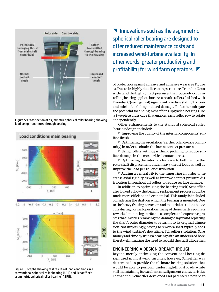

Figure 5: Cross section of asymmetric spherical roller bearing showing load being transferred through bearing.



Figure 6: Graphs showing test results of load conditions in a conventional spherical roller bearing (SRB) and Schaeffler's asymmetric spherical roller bearing (ASRB).

**Innovations such as the asymmetric** spherical roller bearing are designed to offer reduced maintenance costs and increased wind-turbine availability. In other words: greater productivity and profitability for wind farm operators.

of protection against abrasive and adhesive wear (see Figure 3). Due to its highly ductile coating structure, Triondur C can withstand the high contact pressures that routinely occur in rolling bearing applications. As a result, rollers finished with Triondur C (see Figure 4) significantly reduce sliding friction and minimize sliding-induced damage. To further mitigate the potential for sliding, Schaeffler's upgraded bearings use a two-piece brass cage that enables each roller row to rotate independently.

Other enhancements to the standard spherical roller bearing design included:

 $\blacktriangleright$  Improving the quality of the internal components' surface finish.

 $\blacktriangledown$  Optimizing the osculation (i.e. the roller-to-race conformity) in order to obtain the lowest contact pressures.

 $\blacktriangleright$  Using rollers with logarithmic profiling to reduce surface damage in the most critical contact areas.

 $\blacktriangledown$  Optimizing the internal clearance to both reduce the rotor shaft displacement under heavy thrust loads as well as improve the load-per-roller distribution.

 $\blacktriangleright$  Adding a central rib to the inner ring in order to increase axial rigidity as well as improve contact pressure distribution throughout all rollers to reduce surface damage.

In addition to optimizing the bearing itself, Schaeffler also looked at how the bearing replacement process could be made more efficient and economical. This analysis included considering the shaft on which the bearing is mounted. Due to the heavy fretting corrosion and material attrition that occurs during normal operation, many of these shafts require a reworked mounting surface — a complex and expensive process that involves removing the damaged layer and replating the shaft's outer diameter to return it to its original dimension. Not surprisingly, having to rework a shaft typically adds to the wind turbine's downtime. Schaeffler's solution: Save money and time by using a bearing with an undersized bore, thereby eliminating the need to rebuild the shaft altogether.

### ENGINEERING A DESIGN BREAKTHROUGH

Beyond merely optimizing the conventional bearing design used in most wind turbines, however, Schaeffler was determined to provide the ultimate bearing solution that would be able to perform under high-thrust loads while still maintaining its excellent misalignment characteristics. To that end, Schaeffler developed and patented a new bear